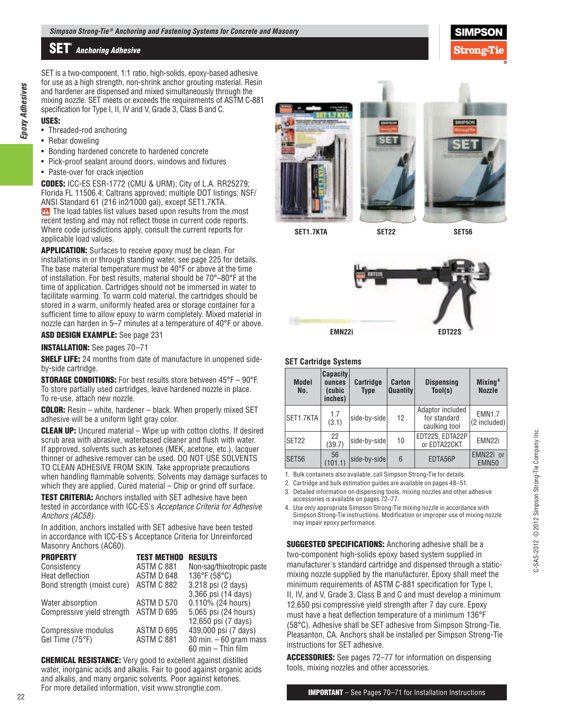SET is a two-component, 1:1 ratio, high-solids, epoxy-based adhesive for use as a high strength, non-shrink anchor grouting material. Resin and hardener are dispensed and mixed simultaneously through the mixing nozzle. SET meets or exceeds the requirements of ASTM C-881 specification for Type I, II, IV and V, Grade 3, Class B and C.

## **USES:**

*Epoxy Adhesives*

Epoxy Adhesives

- Threaded-rod anchoring
- Rebar doweling
- Bonding hardened concrete to hardened concrete
- Pick-proof sealant around doors, windows and fixtures
- Paste-over for crack injection

**CODES:** ICC-ES ESR-1772 (CMU & URM); City of L.A. RR25279; Florida FL 11506.4; Caltrans approved; multiple DOT listings; NSF/ ANSI Standard 61 (216 in2⁄1000 gal), except SET1.7KTA.

The load tables list values based upon results from the most recent testing and may not reflect those in current code reports. Where code jurisdictions apply, consult the current reports for applicable load values.

**APPLICATION:** Surfaces to receive epoxy must be clean. For installations in or through standing water, see page 225 for details. The base material temperature must be 40°F or above at the time of installation. For best results, material should be 70°–80°F at the time of application. Cartridges should not be immersed in water to facilitate warming. To warm cold material, the cartridges should be stored in a warm, uniformly heated area or storage container for a sufficient time to allow epoxy to warm completely. Mixed material in nozzle can harden in 5–7 minutes at a temperature of 40°F or above.

**ASD DESIGN EXAMPLE:** See page 231

**INSTALLATION:** See pages 70–71

**SHELF LIFE:** 24 months from date of manufacture in unopened sideby-side cartridge.

**STORAGE CONDITIONS:** For best results store between 45°F – 90°F. To store partially used cartridges, leave hardened nozzle in place. To re-use, attach new nozzle.

**COLOR:** Resin – white, hardener – black. When properly mixed SET adhesive will be a uniform light gray color.

**CLEAN UP:** Uncured material – Wipe up with cotton cloths. If desired scrub area with abrasive, waterbased cleaner and flush with water. If approved, solvents such as ketones (MEK, acetone, etc.), lacquer thinner or adhesive remover can be used. DO NOT USE SOLVENTS TO CLEAN ADHESIVE FROM SKIN. Take appropriate precautions when handling flammable solvents. Solvents may damage surfaces to which they are applied. Cured material – Chip or grind off surface.

**TEST CRITERIA:** Anchors installed with SET adhesive have been tested in accordance with ICC-ES's Acceptance Criteria for Adhesive Anchors (AC58).

In addition, anchors installed with SET adhesive have been tested in accordance with ICC-ES's Acceptance Criteria for Unreinforced Masonry Anchors (AC60).

| <b>PROPERTY</b>            | <b>TEST METHOD</b> | <b>RESULTS</b>            |
|----------------------------|--------------------|---------------------------|
| Consistency                | ASTM C 881         | Non-sag/thixotropic paste |
| Heat deflection            | ASTM D 648         | 136°F (58°C)              |
| Bond strength (moist cure) | <b>ASTM C 882</b>  | 3,218 psi (2 days)        |
|                            |                    | 3,366 psi (14 days)       |
| Water absorption           | ASTM D 570         | 0.110% (24 hours)         |
| Compressive yield strength | ASTM D 695         | 5,065 psi (24 hours)      |
|                            |                    | 12,650 psi (7 days)       |
| Compressive modulus        | ASTM D 695         | 439,000 psi (7 days)      |
| Gel Time (75°F)            | ASTM C 881         | 30 min. $-60$ gram mass   |
|                            |                    | 60 min - Thin film        |

**CHEMICAL RESISTANCE:** Very good to excellent against distilled water, inorganic acids and alkalis. Fair to good against organic acids and alkalis, and many organic solvents. Poor against ketones. For more detailed information, visit www.strongtie.com.



**SET1.7KTA**

**SET56**

Stronœ'I



**SET22**

## **SET Cartridge Systems**

| <b>Model</b><br>No. | <b>Capacity</b><br>ounces<br>(cubic<br>inches) | <b>Cartridge</b><br>Type | Carton<br><b>Quantity</b> | <b>Dispensing</b><br>Tool(s)                      | Mixing <sup>4</sup><br><b>Nozzle</b> |
|---------------------|------------------------------------------------|--------------------------|---------------------------|---------------------------------------------------|--------------------------------------|
| SET1.7KTA           | 1.7<br>(3.1)                                   | side-by-side             | 12                        | Adaptor included<br>for standard<br>caulking tool | <b>EMN1.7</b><br>$(2$ included)      |
| SET22               | 22<br>(39.7)                                   | side-by-side             | 10                        | EDT22S, EDTA22P<br>or EDTA22CKT                   | EMN <sub>22i</sub>                   |
| <b>SET56</b>        | 56<br>(101.1)                                  | side-by-side             | 6                         | EDTA56P                                           | EMN22i or<br>EMN <sub>50</sub>       |

1. Bulk containers also available, call Simpson Strong-Tie for details.

2. Cartridge and bulk estimation guides are available on pages 48–51.

3. Detailed information on dispensing tools, mixing nozzles and other adhesive accessories is available on pages 72–77.

4. Use only appropriate Simpson Strong-Tie mixing nozzle in accordance with Simpson Strong-Tie instructions. Modification or improper use of mixing nozzle may impair epoxy performance.

**SUGGESTED SPECIFICATIONS:** Anchoring adhesive shall be a two-component high-solids epoxy based system supplied in manufacturer's standard cartridge and dispensed through a staticmixing nozzle supplied by the manufacturer. Epoxy shall meet the minimum requirements of ASTM C-881 specification for Type I, II, IV, and V, Grade 3, Class B and C and must develop a minimum 12,650 psi compressive yield strength after 7 day cure. Epoxy must have a heat deflection temperature of a minimum 136°F (58°C). Adhesive shall be SET adhesive from Simpson Strong-Tie, Pleasanton, CA. Anchors shall be installed per Simpson Strong-Tie instructions for SET adhesive.

**ACCESSORIES:** See pages 72–77 for information on dispensing tools, mixing nozzles and other accessories.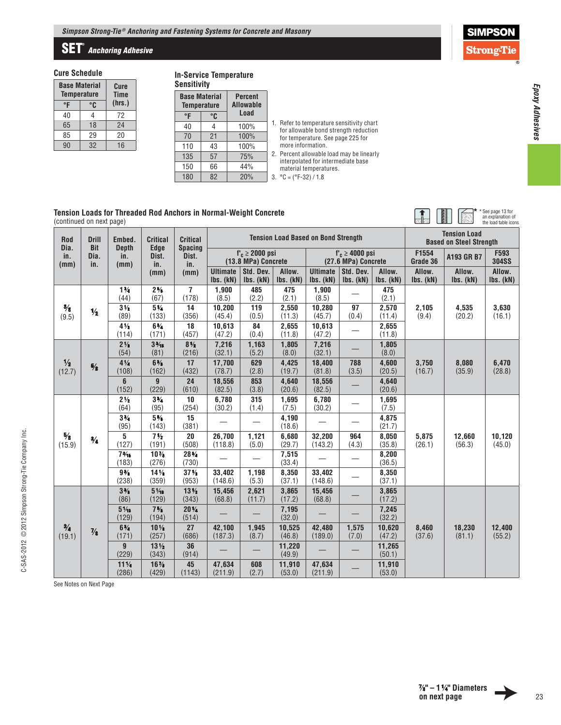## **SET®** *Anchoring Adhesive*

### **Cure Schedule**

| <b>Base Material</b><br><b>Temperature</b> | Cure<br><b>Time</b> |    |
|--------------------------------------------|---------------------|----|
| °F                                         | (hrs.)              |    |
| 40                                         | 4                   | 72 |
| 65                                         | 18                  | 24 |
| 85                                         | 29                  | 20 |
| 90                                         | 16                  |    |

### **In-Service Temperature Sensitivity**

|    | <b>Percent</b><br><b>Allowable</b>         |      |  |  |  |  |  |  |
|----|--------------------------------------------|------|--|--|--|--|--|--|
| °C |                                            |      |  |  |  |  |  |  |
|    | 100%                                       |      |  |  |  |  |  |  |
| 21 | 100%                                       |      |  |  |  |  |  |  |
| 43 | 100%                                       |      |  |  |  |  |  |  |
| 57 | 75%                                        |      |  |  |  |  |  |  |
| 66 | 44%                                        |      |  |  |  |  |  |  |
| 82 | 20%                                        |      |  |  |  |  |  |  |
|    | <b>Base Material</b><br><b>Temperature</b> | Load |  |  |  |  |  |  |

#### 1. Refer to temperature sensitivity chart for allowable bond strength reduction for temperature. See page 225 for more information. 2. Percent allowable load may be linearly

interpolated for intermediate base material temperatures.

3.  $^{\circ}$ C = ( $^{\circ}$ F-32) / 1.8

#### **Tension Loads for Threaded Rod Anchors in Normal-Weight Concrete** (continued on next page)

| <b>Tension Loads for Threaded Rod Anchors in Normal-Weight Concrete</b><br>(continued on next page) |                            |                          |                                |                                         |                              |                                             |                     |                                            |                                            |                     |                     | Expanded 13 for<br>an explanation of<br>the load table icons |                           |                  |
|-----------------------------------------------------------------------------------------------------|----------------------------|--------------------------|--------------------------------|-----------------------------------------|------------------------------|---------------------------------------------|---------------------|--------------------------------------------|--------------------------------------------|---------------------|---------------------|--------------------------------------------------------------|---------------------------|------------------|
| Rod<br>Dia.                                                                                         | <b>Drill</b><br><b>Bit</b> | Embed.<br><b>Depth</b>   | <b>Critical</b><br><b>Edge</b> | <b>Critical</b><br><b>Spacing</b>       |                              |                                             |                     | <b>Tension Load Based on Bond Strength</b> |                                            |                     |                     | <b>Tension Load</b><br><b>Based on Steel Strength</b>        |                           |                  |
| in.<br>(mm)                                                                                         | Dia.<br>in.                | in.<br>(mm)              | Dist.<br>in.                   | Dist.<br>in.                            |                              | $f'_c \geq 2000$ psi<br>(13.8 MPa) Concrete |                     |                                            | $f'_c \ge 4000$ psi<br>(27.6 MPa) Concrete |                     | F1554<br>Grade 36   | A193 GR B7                                                   | F593<br><b>304SS</b>      |                  |
|                                                                                                     |                            |                          | (mm)                           | (mm)                                    | <b>Ultimate</b><br>Ibs. (kN) | Std. Dev.<br>Ibs. (kN)                      | Allow.<br>Ibs. (kN) | <b>Ultimate</b><br>Ibs. (kN)               | Std. Dev.<br>Ibs. (kN)                     | Allow.<br>Ibs. (kN) | Allow.<br>Ibs. (kN) | Allow.<br>Ibs. (kN)                                          | Allow.<br>$lbs.$ ( $kN$ ) |                  |
|                                                                                                     |                            | $1\frac{3}{4}$<br>(44)   | $2\frac{5}{8}$<br>(67)         | 7<br>(178)                              | 1,900<br>(8.5)               | 485<br>(2.2)                                | 475<br>(2.1)        | 1,900<br>(8.5)                             |                                            | 475<br>(2.1)        |                     |                                                              |                           |                  |
| $\frac{3}{8}$<br>(9.5)                                                                              | $\frac{1}{2}$              | $3\frac{1}{2}$<br>(89)   | $5\%$<br>(133)                 | 14<br>(356)                             | 10,200<br>(45.4)             | 119<br>(0.5)                                | 2.550<br>(11.3)     | 10,280<br>(45.7)                           | 97<br>(0.4)                                | 2,570<br>(11.4)     | 2,105<br>(9.4)      | 4,535<br>(20.2)                                              | 3,630<br>(16.1)           |                  |
|                                                                                                     |                            | $4\frac{1}{2}$<br>(114)  | $6\frac{3}{4}$<br>(171)        | 18<br>(457)                             | 10.613<br>(47.2)             | 84<br>(0.4)                                 | 2.655<br>(11.8)     | 10,613<br>(47.2)                           |                                            | 2.655<br>(11.8)     |                     |                                                              |                           |                  |
|                                                                                                     |                            | $2\frac{1}{8}$<br>(54)   | $3\frac{3}{16}$<br>(81)        | $8\frac{1}{2}$<br>(216)                 | 7,216<br>(32.1)              | 1,163<br>(5.2)                              | 1,805<br>(8.0)      | 7,216<br>(32.1)                            |                                            | 1,805<br>(8.0)      |                     |                                                              |                           |                  |
| $\frac{1}{2}$<br>(12.7)                                                                             | $\frac{5}{8}$              | $4\frac{1}{4}$<br>(108)  | $6\frac{3}{8}$<br>(162)        | 17<br>(432)                             | 17,700<br>(78.7)             | 629<br>(2.8)                                | 4.425<br>(19.7)     | 18,400<br>(81.8)                           | 788<br>(3.5)                               | 4.600<br>(20.5)     | 3,750<br>(16.7)     | 8,080<br>(35.9)                                              | 6,470<br>(28.8)           |                  |
|                                                                                                     |                            | 6<br>(152)               | $\mathbf{g}$<br>(229)          | 24<br>(610)                             | 18,556<br>(82.5)             | 853<br>(3.8)                                | 4,640<br>(20.6)     | 18,556<br>(82.5)                           |                                            | 4,640<br>(20.6)     |                     |                                                              |                           |                  |
|                                                                                                     |                            | $2\frac{1}{2}$<br>(64)   | $3\frac{3}{4}$<br>(95)         | 10<br>(254)                             | 6,780<br>(30.2)              | 315<br>(1.4)                                | 1,695<br>(7.5)      | 6,780<br>(30.2)                            |                                            | 1,695<br>(7.5)      |                     |                                                              |                           |                  |
|                                                                                                     |                            | $3\frac{3}{4}$<br>(95)   | $5\%$<br>(143)                 | 15<br>(381)                             |                              |                                             | 4,190<br>(18.6)     |                                            |                                            | 4,875<br>(21.7)     | 5,875<br>(26.1)     | 12,660<br>(56.3)                                             |                           |                  |
| $\frac{5}{8}$<br>(15.9)                                                                             | $^{3/4}$                   | 5<br>(127)               | $7\frac{1}{2}$<br>(191)        | 20<br>(508)                             | 26,700<br>(118.8)            | 1,121<br>(5.0)                              | 6,680<br>(29.7)     | 32,200<br>(143.2)                          | 964<br>(4.3)                               | 8.050<br>(35.8)     |                     |                                                              |                           | 10,120<br>(45.0) |
|                                                                                                     |                            | $7\frac{3}{16}$<br>(183) | $10\%$<br>(276)                | 28%<br>(730)                            |                              |                                             | 7,515<br>(33.4)     |                                            |                                            | 8,200<br>(36.5)     |                     |                                                              |                           |                  |
|                                                                                                     |                            | $9\frac{3}{8}$<br>(238)  | $14\%$<br>(359)                | $37\frac{1}{2}$<br>(953)                | 33,402<br>(148.6)            | 1,198<br>(5.3)                              | 8,350<br>(37.1)     | 33,402<br>(148.6)                          |                                            | 8,350<br>(37.1)     |                     |                                                              |                           |                  |
|                                                                                                     |                            | $3\frac{3}{8}$<br>(86)   | $5\frac{1}{16}$<br>(129)       | 13 <sup>1</sup> / <sub>2</sub><br>(343) | 15,456<br>(68.8)             | 2,621<br>(11.7)                             | 3,865<br>(17.2)     | 15,456<br>(68.8)                           |                                            | 3,865<br>(17.2)     |                     |                                                              |                           |                  |
|                                                                                                     |                            | $5\frac{1}{16}$<br>(129) | $7\frac{5}{8}$<br>(194)        | $20\,\frac{1}{4}$<br>(514)              |                              |                                             | 7,195<br>(32.0)     |                                            |                                            | 7,245<br>(32.2)     |                     |                                                              |                           |                  |
| $\frac{3}{4}$<br>(19.1)                                                                             | $\frac{7}{8}$              | $6\frac{3}{4}$<br>(171)  | 10 <sub>1</sub><br>(257)       | 27<br>(686)                             | 42,100<br>(187.3)            | 1,945<br>(8.7)                              | 10,525<br>(46.8)    | 42,480<br>(189.0)                          | 1,575<br>(7.0)                             | 10,620<br>(47.2)    | 8,460<br>(37.6)     | 18,230<br>(81.1)                                             | 12,400<br>(55.2)          |                  |
|                                                                                                     |                            | 9<br>(229)               | $13\frac{1}{2}$<br>(343)       | 36<br>(914)                             |                              |                                             | 11,220<br>(49.9)    |                                            |                                            | 11,265<br>(50.1)    |                     |                                                              |                           |                  |
|                                                                                                     |                            | $11\%$<br>(286)          | $16\%$<br>(429)                | 45<br>(1143)                            | 47,634<br>(211.9)            | 608<br>(2.7)                                | 11,910<br>(53.0)    | 47,634<br>(211.9)                          |                                            | 11,910<br>(53.0)    |                     |                                                              |                           |                  |

See Notes on Next Page

C-SAS-2012 © 2012 Simpson Strong-Tie Company Inc.

C-SAS-2012 © 2012 Simpson Strong-Tie Company Inc.

**SIMPSON Strong-Tie** 

**\***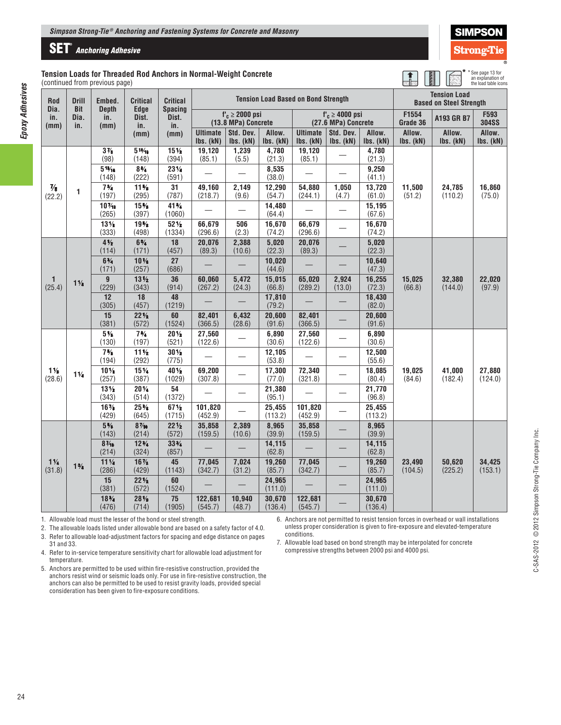# **SET®** *Anchoring Adhesive*

#### **Tansion Threaded Rod Anchors in Normal-Weight Concrete** rom previous page)

**Tension Load Based on Bond Strength Tension Load** 

\*See page 13 for an explanation of the load table icons

**\***

Strong

| <b>Tension Load</b><br>(continued from |                             |
|----------------------------------------|-----------------------------|
| Rod<br>Dia.<br>in.<br>(mm)             | Drill<br>Bit<br>Dia.<br>in. |
|                                        |                             |

*Epoxy Adhesives*

**Epoxy Adhesives** 

| Rod                      | <b>Drill</b>              | Embed.                      | <b>Critical</b>             | <b>Critical</b>                | Tension Load Based on Bond Strength |                                            |                     |                              | <b>Based on Steel Strength</b>              |                     |                     |                     |                      |
|--------------------------|---------------------------|-----------------------------|-----------------------------|--------------------------------|-------------------------------------|--------------------------------------------|---------------------|------------------------------|---------------------------------------------|---------------------|---------------------|---------------------|----------------------|
| Dia.<br>in.<br>(mm)      | <b>Bit</b><br>Dia.<br>in. | <b>Depth</b><br>in.<br>(mm) | <b>Edge</b><br>Dist.<br>in. | <b>Spacing</b><br>Dist.<br>in. |                                     | $f'_c \ge 2000$ psi<br>(13.8 MPa) Concrete |                     |                              | $f'_c \geq 4000$ psi<br>(27.6 MPa) Concrete |                     | F1554<br>Grade 36   | A193 GR B7          | F593<br><b>304SS</b> |
|                          |                           |                             | (mm)                        | (mm)                           | <b>Ultimate</b><br>Ibs. (kN)        | Std. Dev.<br>Ibs. (kN)                     | Allow.<br>Ibs. (kN) | <b>Ultimate</b><br>Ibs. (kN) | Std. Dev.<br>Ibs. (kN)                      | Allow.<br>Ibs. (kN) | Allow.<br>Ibs. (kN) | Allow.<br>Ibs. (kN) | Allow.<br>Ibs. (kN)  |
|                          |                           | $3\%$<br>(98)               | $5^{13}/16$<br>(148)        | $15\frac{1}{2}$<br>(394)       | 19,120<br>(85.1)                    | 1,239<br>(5.5)                             | 4.780<br>(21.3)     | 19.120<br>(85.1)             |                                             | 4.780<br>(21.3)     |                     |                     | 16,860<br>(75.0)     |
|                          |                           | $5^{13}/16$<br>(148)        | $8\frac{3}{4}$<br>(222)     | 231/4<br>(591)                 |                                     |                                            | 8,535<br>(38.0)     |                              |                                             | 9,250<br>(41.1)     |                     | 24,785<br>(110.2)   |                      |
| $\frac{7}{8}$<br>(22.2)  | $\blacksquare$            | $7\frac{3}{4}$<br>(197)     | $11\frac{5}{8}$<br>(295)    | 31<br>(787)                    | 49,160<br>(218.7)                   | 2,149<br>(9.6)                             | 12,290<br>(54.7)    | 54.880<br>(244.1)            | 1,050<br>(4.7)                              | 13,720<br>(61.0)    | 11,500<br>(51.2)    |                     |                      |
|                          |                           | $10\%$<br>(265)             | $15\%$<br>(397)             | 41%<br>(1060)                  |                                     |                                            | 14,480<br>(64.4)    |                              |                                             | 15,195<br>(67.6)    |                     |                     |                      |
|                          |                           | $13\%$<br>(333)             | 19%<br>(498)                | $52\frac{1}{2}$<br>(1334)      | 66,679<br>(296.6)                   | 506<br>(2.3)                               | 16,670<br>(74.2)    | 66,679<br>(296.6)            |                                             | 16,670<br>(74.2)    |                     |                     |                      |
|                          |                           | $4\frac{1}{2}$<br>(114)     | $6\frac{3}{4}$<br>(171)     | 18<br>(457)                    | 20,076<br>(89.3)                    | 2,388<br>(10.6)                            | 5,020<br>(22.3)     | 20,076<br>(89.3)             |                                             | 5,020<br>(22.3)     |                     |                     | 22,020<br>(97.9)     |
|                          |                           | $6\frac{3}{4}$<br>(171)     | $10\%$<br>(257)             | 27<br>(686)                    |                                     |                                            | 10,020<br>(44.6)    |                              |                                             | 10,640<br>(47.3)    |                     | 32.380<br>(144.0)   |                      |
| $\mathbf{1}$<br>(25.4)   | $1\frac{1}{8}$            | $\overline{9}$<br>(229)     | 13 <sub>2</sub><br>(343)    | 36<br>(914)                    | 60,060<br>(267.2)                   | 5,472<br>(24.3)                            | 15,015<br>(66.8)    | 65,020<br>(289.2)            | 2,924<br>(13.0)                             | 16,255<br>(72.3)    | 15.025<br>(66.8)    |                     |                      |
|                          |                           | 12<br>(305)                 | 18<br>(457)                 | 48<br>(1219)                   |                                     |                                            | 17,810<br>(79.2)    |                              |                                             | 18,430<br>(82.0)    |                     |                     |                      |
|                          |                           | 15<br>(381)                 | $22\frac{1}{2}$<br>(572)    | 60<br>(1524)                   | 82,401<br>(366.5)                   | 6,432<br>(28.6)                            | 20,600<br>(91.6)    | 82,401<br>(366.5)            |                                             | 20,600<br>(91.6)    |                     |                     |                      |
|                          |                           | $5\,\frac{1}{8}$<br>(130)   | $7\frac{3}{4}$<br>(197)     | $20\frac{1}{2}$<br>(521)       | 27,560<br>(122.6)                   |                                            | 6,890<br>(30.6)     | 27,560<br>(122.6)            |                                             | 6,890<br>(30.6)     |                     |                     |                      |
|                          |                           | $7\frac{6}{8}$<br>(194)     | $11\frac{1}{2}$<br>(292)    | $30\,\frac{1}{2}$<br>(775)     |                                     |                                            | 12,105<br>(53.8)    |                              |                                             | 12,500<br>(55.6)    |                     |                     |                      |
| $1\%$<br>(28.6)          | $1\frac{1}{4}$            | $10\%$<br>(257)             | $15\%$<br>(387)             | 40 1/2<br>(1029)               | 69,200<br>(307.8)                   |                                            | 17,300<br>(77.0)    | 72,340<br>(321.8)            |                                             | 18,085<br>(80.4)    | 19,025<br>(84.6)    | 41,000<br>(182.4)   | 27,880<br>(124.0)    |
|                          |                           | 13 <sub>2</sub><br>(343)    | $20\%$<br>(514)             | 54<br>(1372)                   |                                     |                                            | 21,380<br>(95.1)    |                              |                                             | 21,770<br>(96.8)    |                     |                     |                      |
|                          |                           | $16\%$<br>(429)             | $25\%$<br>(645)             | $67\frac{1}{2}$<br>(1715)      | 101,820<br>(452.9)                  |                                            | 25,455<br>(113.2)   | 101,820<br>(452.9)           |                                             | 25,455<br>(113.2)   |                     |                     |                      |
|                          |                           | $5\,\frac{5}{8}$<br>(143)   | $8\frac{7}{16}$<br>(214)    | $22\frac{1}{2}$<br>(572)       | 35,858<br>(159.5)                   | 2,389<br>(10.6)                            | 8,965<br>(39.9)     | 35,858<br>(159.5)            |                                             | 8,965<br>(39.9)     |                     |                     |                      |
|                          |                           | $8\frac{7}{16}$<br>(214)    | $12\%$<br>(324)             | 33%<br>(857)                   |                                     |                                            | 14,115<br>(62.8)    |                              |                                             | 14,115<br>(62.8)    |                     |                     | 34,425<br>(153.1)    |
| $1\frac{1}{4}$<br>(31.8) | $1\frac{3}{8}$            | 11 <sub>4</sub><br>(286)    | $16\%$<br>(429)             | 45<br>(1143)                   | 77,045<br>(342.7)                   | 7,024<br>(31.2)                            | 19,260<br>(85.7)    | 77,045<br>(342.7)            |                                             | 19,260<br>(85.7)    | 23,490<br>(104.5)   | 50,620<br>(225.2)   |                      |
|                          |                           | 15<br>(381)                 | $22\frac{1}{2}$<br>(572)    | 60<br>(1524)                   |                                     |                                            | 24,965<br>(111.0)   |                              |                                             | 24,965<br>(111.0)   |                     |                     |                      |
|                          |                           | $18\%$<br>(476)             | $28\frac{1}{8}$<br>(714)    | 75<br>(1905)                   | 122,681<br>(545.7)                  | 10,940<br>(48.7)                           | 30,670<br>(136.4)   | 122,681<br>(545.7)           |                                             | 30,670<br>(136.4)   |                     |                     |                      |

1. Allowable load must the lesser of the bond or steel strength.

2. The allowable loads listed under allowable bond are based on a safety factor of 4.0.

3. Refer to allowable load-adjustment factors for spacing and edge distance on pages 31 and 33.

4. Refer to in-service temperature sensitivity chart for allowable load adjustment for temperature.

5. Anchors are permitted to be used within fire-resistive construction, provided the anchors resist wind or seismic loads only. For use in fire-resistive construction, the anchors can also be permitted to be used to resist gravity loads, provided special consideration has been given to fire-exposure conditions.

6. Anchors are not permitted to resist tension forces in overhead or wall installations unless proper consideration is given to fire-exposure and elevated-temperature conditions.

7. Allowable load based on bond strength may be interpolated for concrete compressive strengths between 2000 psi and 4000 psi.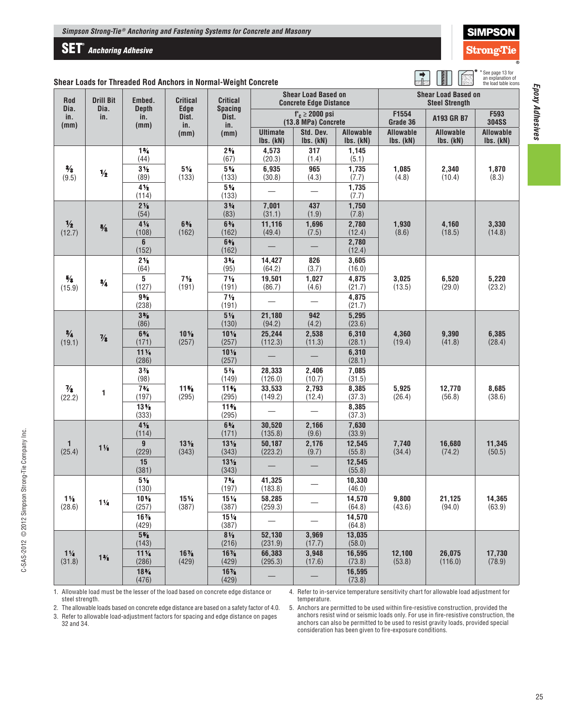## **SET®** *Anchoring Adhesive*

|  | SIMPSON          |  |
|--|------------------|--|
|  | rong-T <u>ie</u> |  |
|  |                  |  |

| * See page 13 for<br>an explanation of<br>the load table icons |
|----------------------------------------------------------------|
|                                                                |

 $\begin{array}{c} \begin{array}{c} \text{ } \end{array} \ \text{ } \end{array}$ 

|  |  |  |  | Shear Loads for Threaded Rod Anchors in Normal-Weight Concrete |
|--|--|--|--|----------------------------------------------------------------|
|--|--|--|--|----------------------------------------------------------------|

| Rod<br>Dia.                  | <b>Drill Bit</b><br>Dia. | Embed.<br><b>Depth</b>   | <b>Critical</b><br><b>Edge</b> | <b>Critical</b><br><b>Spacing</b> | <b>Shear Load Based on</b><br><b>Concrete Edge Distance</b> |                                            |                               | <b>Shear Load Based on</b><br><b>Steel Strength</b><br>F1554 |                               |                        |  |
|------------------------------|--------------------------|--------------------------|--------------------------------|-----------------------------------|-------------------------------------------------------------|--------------------------------------------|-------------------------------|--------------------------------------------------------------|-------------------------------|------------------------|--|
| in.<br>(mm)                  | in.                      | in.<br>(mm)              | Dist.<br>in.                   | Dist.<br>in.                      |                                                             | $f'_c \ge 2000$ psi<br>(13.8 MPa) Concrete |                               |                                                              | A193 GR B7                    | F593<br><b>304SS</b>   |  |
|                              |                          |                          | (mm)                           | (mm)                              | <b>Ultimate</b><br>Ibs. (kN)                                | Std. Dev.<br>Ibs. (kN)                     | <b>Allowable</b><br>Ibs. (kN) | <b>Allowable</b><br>Ibs. (kN)                                | <b>Allowable</b><br>Ibs. (kN) | Allowable<br>Ibs. (kN) |  |
|                              |                          | $1\frac{3}{4}$<br>(44)   |                                | $2\frac{5}{8}$<br>(67)            | 4,573<br>(20.3)                                             | 317<br>(1.4)                               | 1,145<br>(5.1)                |                                                              |                               |                        |  |
| $\frac{3}{8}$<br>(9.5)       | $\frac{1}{2}$            | $3\frac{1}{2}$<br>(89)   | $5\,\%$<br>(133)               | $5\%$<br>(133)                    | 6,935<br>(30.8)                                             | 965<br>(4.3)                               | 1,735<br>(7.7)                | 1,085<br>(4.8)                                               | 2,340<br>(10.4)               | 1,870<br>(8.3)         |  |
|                              |                          | $4\frac{1}{2}$<br>(114)  |                                | $5\%$<br>(133)                    |                                                             |                                            | 1,735<br>(7.7)                |                                                              |                               |                        |  |
|                              |                          | $2\frac{1}{8}$<br>(54)   |                                | $3\frac{1}{4}$<br>(83)            | 7,001<br>(31.1)                                             | 437<br>(1.9)                               | 1,750<br>(7.8)                |                                                              |                               |                        |  |
| $\frac{1}{2}$<br>(12.7)      | $5/8$                    | $4\frac{1}{4}$<br>(108)  | $6\frac{3}{8}$<br>(162)        | $6\frac{3}{8}$<br>(162)           | 11,116<br>(49.4)                                            | 1,696<br>(7.5)                             | 2,780<br>(12.4)               | 1,930<br>(8.6)                                               | 4,160<br>(18.5)               | 3,330<br>(14.8)        |  |
|                              |                          | 6<br>(152)               |                                | $6\frac{3}{8}$<br>(162)           |                                                             |                                            | 2,780<br>(12.4)               |                                                              |                               |                        |  |
|                              |                          | $2\frac{1}{2}$<br>(64)   |                                | $3\frac{3}{4}$<br>(95)            | 14,427<br>(64.2)                                            | 826<br>(3.7)                               | 3,605<br>(16.0)               |                                                              |                               |                        |  |
| $5\!/\!{}_{\rm 8}$<br>(15.9) | $\frac{3}{4}$            | 5<br>(127)               | $7\frac{1}{2}$<br>(191)        | $7\frac{1}{2}$<br>(191)           | 19,501<br>(86.7)                                            | 1,027<br>(4.6)                             | 4,875<br>(21.7)               | 3,025<br>(13.5)                                              | 6,520<br>(29.0)               | 5,220<br>(23.2)        |  |
|                              |                          | $9\%$<br>(238)           |                                | $7\frac{1}{2}$<br>(191)           |                                                             |                                            | 4,875<br>(21.7)               |                                                              |                               |                        |  |
|                              |                          | 3%<br>(86)               |                                | $5\,\mathrm{\%}$<br>(130)         | 21,180<br>(94.2)                                            | 942<br>(4.2)                               | 5,295<br>(23.6)               |                                                              |                               |                        |  |
| $\frac{3}{4}$<br>(19.1)      | $\frac{7}{8}$            | $6\frac{3}{4}$<br>(171)  | $10\%$<br>(257)                | $10\%$<br>(257)                   | 25,244<br>(112.3)                                           | 2,538<br>(11.3)                            | 6,310<br>(28.1)               | 4,360<br>(19.4)                                              | 9,390<br>(41.8)               | 6,385<br>(28.4)        |  |
|                              |                          | $11\frac{1}{4}$<br>(286) |                                | 10 <sub>2</sub><br>(257)          |                                                             |                                            | 6,310<br>(28.1)               |                                                              |                               |                        |  |
|                              |                          | $3\%$<br>(98)            |                                | $5\%$<br>(149)                    | 28,333<br>(126.0)                                           | 2,406<br>(10.7)                            | 7,085<br>(31.5)               |                                                              |                               |                        |  |
| $\frac{7}{8}$<br>(22.2)      | 1                        | $7\frac{3}{4}$<br>(197)  | $11\%$<br>(295)                | $11\%$<br>(295)                   | 33,533<br>(149.2)                                           | 2,793<br>(12.4)                            | 8,385<br>(37.3)               | 5,925<br>(26.4)                                              | 12,770<br>(56.8)              | 8,685<br>(38.6)        |  |
|                              |                          | $13\%$<br>(333)          |                                | $11\%$<br>(295)                   |                                                             |                                            | 8,385<br>(37.3)               |                                                              |                               |                        |  |
|                              |                          | $4\frac{1}{2}$<br>(114)  |                                | $6\frac{3}{4}$<br>(171)           | 30,520<br>(135.8)                                           | 2,166<br>(9.6)                             | 7,630<br>(33.9)               |                                                              |                               |                        |  |
| 1<br>(25.4)                  | $1\%$                    | 9<br>(229)               | $13\frac{1}{2}$<br>(343)       | $13\frac{1}{2}$<br>(343)          | 50,187<br>(223.2)                                           | 2,176<br>(9.7)                             | 12,545<br>(55.8)              | 7,740<br>(34.4)                                              | 16,680<br>(74.2)              | 11,345<br>(50.5)       |  |
|                              |                          | 15<br>(381)              |                                | $13\frac{1}{2}$<br>(343)          |                                                             |                                            | 12,545<br>(55.8)              |                                                              |                               |                        |  |
|                              |                          | $5\%$<br>(130)           |                                | $7\frac{3}{4}$<br>(197)           | 41,325<br>(183.8)                                           |                                            | 10,330<br>(46.0)              |                                                              |                               |                        |  |
| $1\%$<br>(28.6)              | $1\frac{1}{4}$           | $10\%$<br>(257)          | 15 <sub>%</sub><br>(387)       | $15\%$<br>(387)                   | 58,285<br>(259.3)                                           |                                            | 14,570<br>(64.8)              | 9,800<br>(43.6)                                              | 21,125<br>(94.0)              | 14,365<br>(63.9)       |  |
|                              |                          | $16\%$<br>(429)          |                                | $15\%$<br>(387)                   |                                                             |                                            | 14,570<br>(64.8)              |                                                              |                               |                        |  |
|                              |                          | $5\%$<br>(143)           |                                | $8\,\mathrm{\AA{}}$<br>(216)      | 52,130<br>(231.9)                                           | 3,969<br>(17.7)                            | 13,035<br>(58.0)              |                                                              |                               |                        |  |
| $1\frac{1}{4}$<br>(31.8)     | $1\frac{3}{8}$           | $11\frac{1}{4}$<br>(286) | $16\%$<br>(429)                | $16\%$<br>(429)                   | 66,383<br>(295.3)                                           | 3,948<br>(17.6)                            | 16,595<br>(73.8)              | 12,100<br>(53.8)                                             | 26,075<br>(116.0)             | 17,730<br>(78.9)       |  |
|                              | $18\%$<br>(476)          |                          | $16\%$<br>(429)                |                                   |                                                             | 16,595<br>(73.8)                           |                               |                                                              |                               |                        |  |

1. Allowable load must be the lesser of the load based on concrete edge distance or steel strength.

4. Refer to in-service temperature sensitivity chart for allowable load adjustment for temperature.

2. The allowable loads based on concrete edge distance are based on a safety factor of 4.0.

3. Refer to allowable load-adjustment factors for spacing and edge distance on pages 32 and 34.

5. Anchors are permitted to be used within fire-resistive construction, provided the anchors resist wind or seismic loads only. For use in fire-resistive construction, the anchors can also be permitted to be used to resist gravity loads, provided special consideration has been given to fire-exposure conditions.